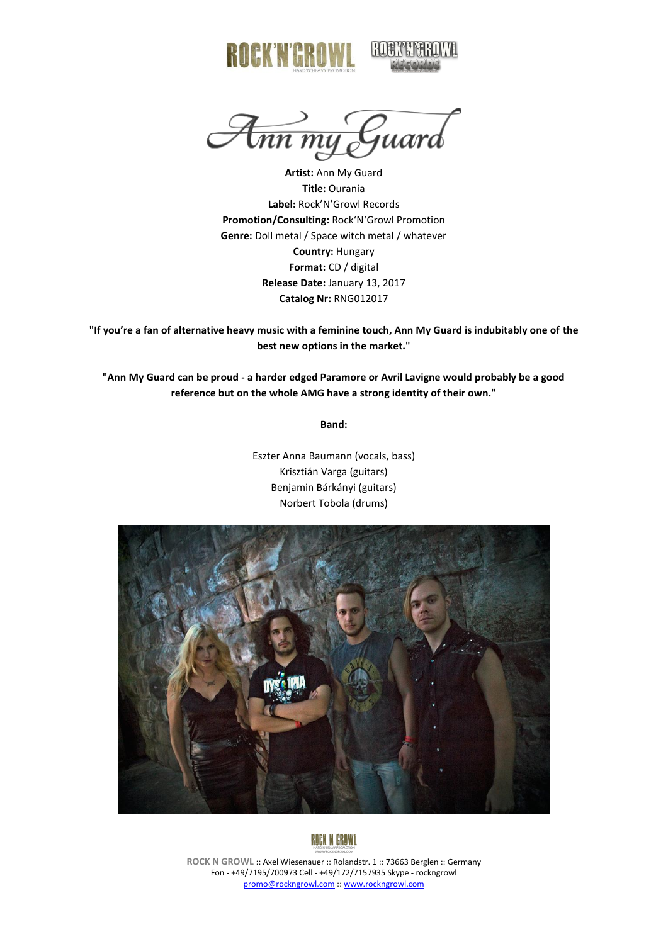

<del>Amn my G</del>uard

**Artist:** Ann My Guard **Title:** Ourania **Label:** Rock'N'Growl Records **Promotion/Consulting:** Rock'N'Growl Promotion **Genre:** Doll metal / Space witch metal / whatever **Country:** Hungary **Format:** CD / digital **Release Date:** January 13, 2017 **Catalog Nr:** RNG012017

**"If you're a fan of alternative heavy music with a feminine touch, Ann My Guard is indubitably one of the best new options in the market."**

**"Ann My Guard can be proud - a harder edged Paramore or Avril Lavigne would probably be a good reference but on the whole AMG have a strong identity of their own."**

**Band:**

Eszter Anna Baumann (vocals, bass) Krisztián Varga (guitars) Benjamin Bárkányi (guitars) Norbert Tobola (drums)





**ROCK N GROWL** :: Axel Wiesenauer :: Rolandstr. 1 :: 73663 Berglen :: Germany Fon - +49/7195/700973 Cell - +49/172/7157935 Skype - rockngrowl [promo@rockngrowl.com](mailto:promo@rockngrowl.com) :[: www.rockngrowl.com](http://www.rockngrowl.com/)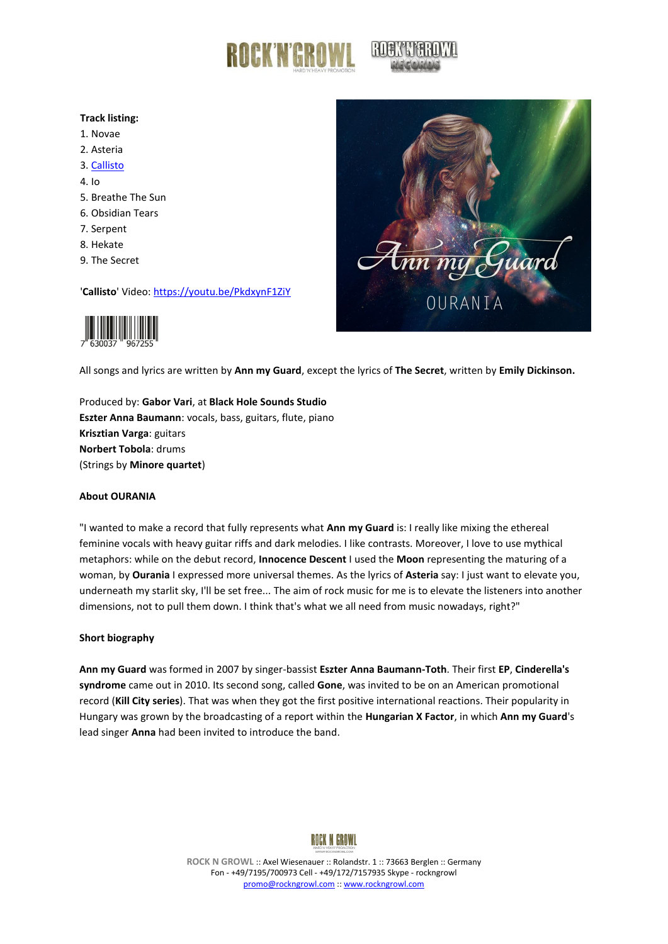

## **Track listing:**

- 1. Novae
- 2. Asteria
- 3. [Callisto](https://youtu.be/PkdxynF1ZiY)
- 4. Io
- 5. Breathe The Sun
- 6. Obsidian Tears
- 7. Serpent
- 8. Hekate
- 9. The Secret

'**Callisto**' Video:<https://youtu.be/PkdxynF1ZiY>





All songs and lyrics are written by **Ann my Guard**, except the lyrics of **The Secret**, written by **Emily Dickinson.**

Produced by: **Gabor Vari**, at **Black Hole Sounds Studio Eszter Anna Baumann**: vocals, bass, guitars, flute, piano **Krisztian Varga**: guitars **Norbert Tobola**: drums (Strings by **Minore quartet**)

## **About OURANIA**

"I wanted to make a record that fully represents what **Ann my Guard** is: I really like mixing the ethereal feminine vocals with heavy guitar riffs and dark melodies. I like contrasts. Moreover, I love to use mythical metaphors: while on the debut record, **Innocence Descent** I used the **Moon** representing the maturing of a woman, by **Ourania** I expressed more universal themes. As the lyrics of **Asteria** say: I just want to elevate you, underneath my starlit sky, I'll be set free... The aim of rock music for me is to elevate the listeners into another dimensions, not to pull them down. I think that's what we all need from music nowadays, right?"

## **Short biography**

**Ann my Guard** was formed in 2007 by singer-bassist **Eszter Anna Baumann-Toth**. Their first **EP**, **Cinderella's syndrome** came out in 2010. Its second song, called **Gone**, was invited to be on an American promotional record (**Kill City series**). That was when they got the first positive international reactions. Their popularity in Hungary was grown by the broadcasting of a report within the **Hungarian X Factor**, in which **Ann my Guard**'s lead singer **Anna** had been invited to introduce the band.



**ROCK N GROWL** :: Axel Wiesenauer :: Rolandstr. 1 :: 73663 Berglen :: Germany Fon - +49/7195/700973 Cell - +49/172/7157935 Skype - rockngrowl [promo@rockngrowl.com](mailto:promo@rockngrowl.com) :[: www.rockngrowl.com](http://www.rockngrowl.com/)